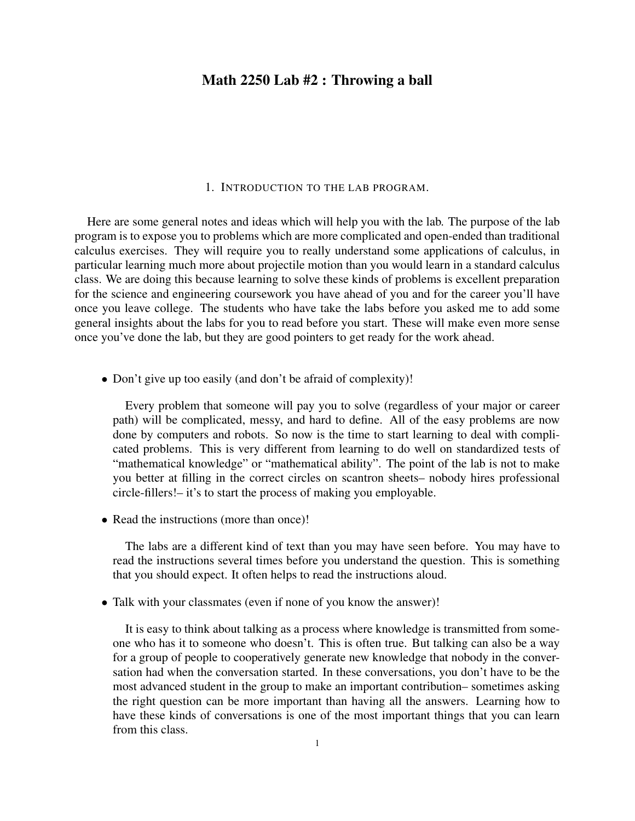## Math 2250 Lab #2 : Throwing a ball

#### 1. INTRODUCTION TO THE LAB PROGRAM.

Here are some general notes and ideas which will help you with the lab. The purpose of the lab program is to expose you to problems which are more complicated and open-ended than traditional calculus exercises. They will require you to really understand some applications of calculus, in particular learning much more about projectile motion than you would learn in a standard calculus class. We are doing this because learning to solve these kinds of problems is excellent preparation for the science and engineering coursework you have ahead of you and for the career you'll have once you leave college. The students who have take the labs before you asked me to add some general insights about the labs for you to read before you start. These will make even more sense once you've done the lab, but they are good pointers to get ready for the work ahead.

• Don't give up too easily (and don't be afraid of complexity)!

Every problem that someone will pay you to solve (regardless of your major or career path) will be complicated, messy, and hard to define. All of the easy problems are now done by computers and robots. So now is the time to start learning to deal with complicated problems. This is very different from learning to do well on standardized tests of "mathematical knowledge" or "mathematical ability". The point of the lab is not to make you better at filling in the correct circles on scantron sheets– nobody hires professional circle-fillers!– it's to start the process of making you employable.

• Read the instructions (more than once)!

The labs are a different kind of text than you may have seen before. You may have to read the instructions several times before you understand the question. This is something that you should expect. It often helps to read the instructions aloud.

• Talk with your classmates (even if none of you know the answer)!

It is easy to think about talking as a process where knowledge is transmitted from someone who has it to someone who doesn't. This is often true. But talking can also be a way for a group of people to cooperatively generate new knowledge that nobody in the conversation had when the conversation started. In these conversations, you don't have to be the most advanced student in the group to make an important contribution– sometimes asking the right question can be more important than having all the answers. Learning how to have these kinds of conversations is one of the most important things that you can learn from this class.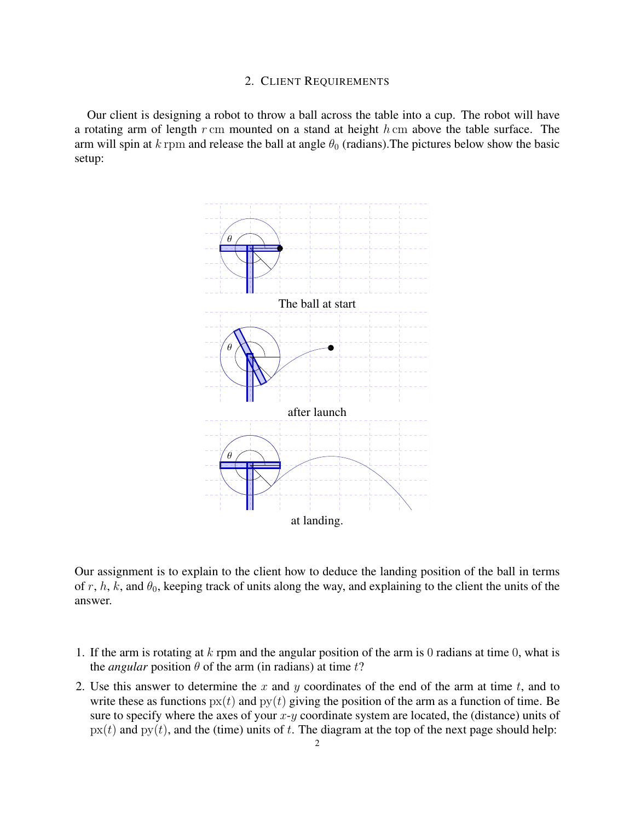#### 2. CLIENT REQUIREMENTS

Our client is designing a robot to throw a ball across the table into a cup. The robot will have a rotating arm of length  $r$  cm mounted on a stand at height  $h$  cm above the table surface. The arm will spin at k rpm and release the ball at angle  $\theta_0$  (radians). The pictures below show the basic setup:



Our assignment is to explain to the client how to deduce the landing position of the ball in terms of r, h, k, and  $\theta_0$ , keeping track of units along the way, and explaining to the client the units of the answer.

- 1. If the arm is rotating at  $k$  rpm and the angular position of the arm is 0 radians at time 0, what is the *angular* position  $\theta$  of the arm (in radians) at time t?
- 2. Use this answer to determine the x and y coordinates of the end of the arm at time t, and to write these as functions  $px(t)$  and  $py(t)$  giving the position of the arm as a function of time. Be sure to specify where the axes of your  $x-y$  coordinate system are located, the (distance) units of  $px(t)$  and  $py(t)$ , and the (time) units of t. The diagram at the top of the next page should help: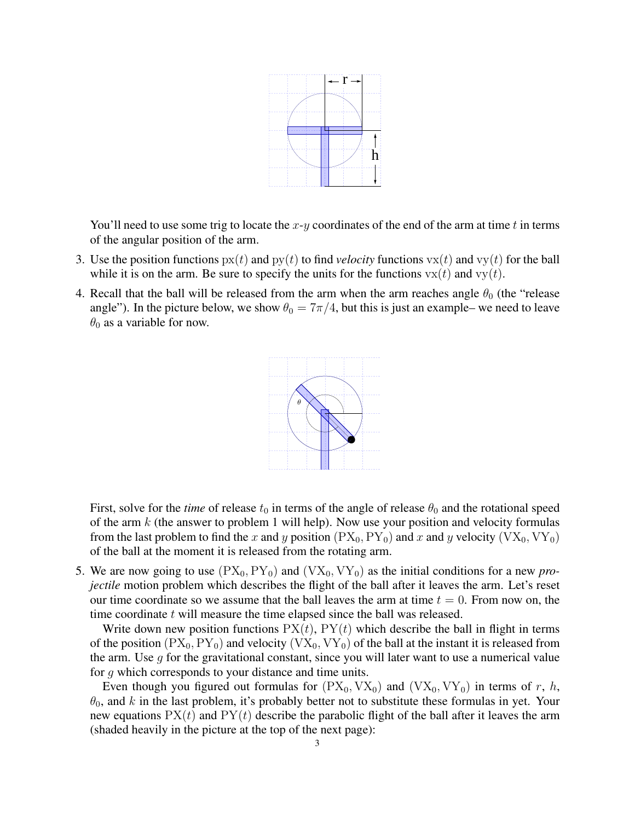

You'll need to use some trig to locate the  $x-y$  coordinates of the end of the arm at time t in terms of the angular position of the arm.

- 3. Use the position functions  $px(t)$  and  $py(t)$  to find *velocity* functions  $vx(t)$  and  $vy(t)$  for the ball while it is on the arm. Be sure to specify the units for the functions  $vx(t)$  and  $vy(t)$ .
- 4. Recall that the ball will be released from the arm when the arm reaches angle  $\theta_0$  (the "release" angle"). In the picture below, we show  $\theta_0 = 7\pi/4$ , but this is just an example– we need to leave  $\theta_0$  as a variable for now.



First, solve for the *time* of release  $t_0$  in terms of the angle of release  $\theta_0$  and the rotational speed of the arm  $k$  (the answer to problem 1 will help). Now use your position and velocity formulas from the last problem to find the x and y position  $(PX_0, PY_0)$  and x and y velocity  $(VX_0, VY_0)$ of the ball at the moment it is released from the rotating arm.

5. We are now going to use  $(PX_0, PY_0)$  and  $(VX_0, VY_0)$  as the initial conditions for a new *projectile* motion problem which describes the flight of the ball after it leaves the arm. Let's reset our time coordinate so we assume that the ball leaves the arm at time  $t = 0$ . From now on, the time coordinate t will measure the time elapsed since the ball was released.

Write down new position functions  $PX(t)$ ,  $PY(t)$  which describe the ball in flight in terms of the position  $(PX_0, PY_0)$  and velocity  $(VX_0, VY_0)$  of the ball at the instant it is released from the arm. Use  $q$  for the gravitational constant, since you will later want to use a numerical value for g which corresponds to your distance and time units.

Even though you figured out formulas for  $(PX_0, VX_0)$  and  $(VX_0, VY_0)$  in terms of r, h,  $\theta_0$ , and k in the last problem, it's probably better not to substitute these formulas in yet. Your new equations  $PX(t)$  and  $PY(t)$  describe the parabolic flight of the ball after it leaves the arm (shaded heavily in the picture at the top of the next page):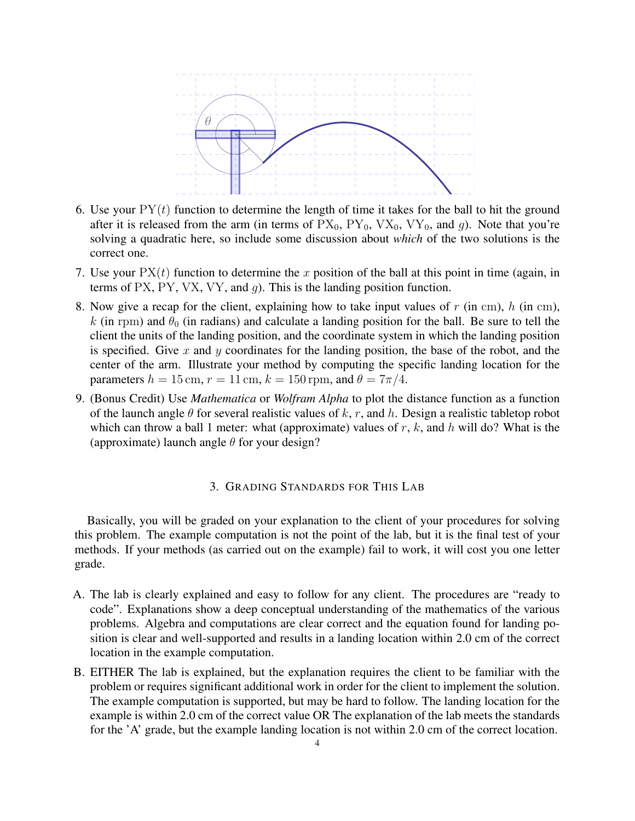

- 6. Use your  $PY(t)$  function to determine the length of time it takes for the ball to hit the ground after it is released from the arm (in terms of  $PX_0$ ,  $PY_0$ ,  $VX_0$ ,  $VY_0$ , and g). Note that you're solving a quadratic here, so include some discussion about *which* of the two solutions is the correct one.
- 7. Use your  $PX(t)$  function to determine the x position of the ball at this point in time (again, in terms of PX, PY, VX, VY, and  $q$ ). This is the landing position function.
- 8. Now give a recap for the client, explaining how to take input values of  $r$  (in cm),  $h$  (in cm), k (in rpm) and  $\theta_0$  (in radians) and calculate a landing position for the ball. Be sure to tell the client the units of the landing position, and the coordinate system in which the landing position is specified. Give  $x$  and  $y$  coordinates for the landing position, the base of the robot, and the center of the arm. Illustrate your method by computing the specific landing location for the parameters  $h = 15$  cm,  $r = 11$  cm,  $k = 150$  rpm, and  $\theta = 7\pi/4$ .
- 9. (Bonus Credit) Use *Mathematica* or *Wolfram Alpha* to plot the distance function as a function of the launch angle  $\theta$  for several realistic values of k, r, and h. Design a realistic tabletop robot which can throw a ball 1 meter: what (approximate) values of r, k, and h will do? What is the (approximate) launch angle  $\theta$  for your design?

### 3. GRADING STANDARDS FOR THIS LAB

Basically, you will be graded on your explanation to the client of your procedures for solving this problem. The example computation is not the point of the lab, but it is the final test of your methods. If your methods (as carried out on the example) fail to work, it will cost you one letter grade.

- A. The lab is clearly explained and easy to follow for any client. The procedures are "ready to code". Explanations show a deep conceptual understanding of the mathematics of the various problems. Algebra and computations are clear correct and the equation found for landing position is clear and well-supported and results in a landing location within 2.0 cm of the correct location in the example computation.
- B. EITHER The lab is explained, but the explanation requires the client to be familiar with the problem or requires significant additional work in order for the client to implement the solution. The example computation is supported, but may be hard to follow. The landing location for the example is within 2.0 cm of the correct value OR The explanation of the lab meets the standards for the 'A' grade, but the example landing location is not within 2.0 cm of the correct location.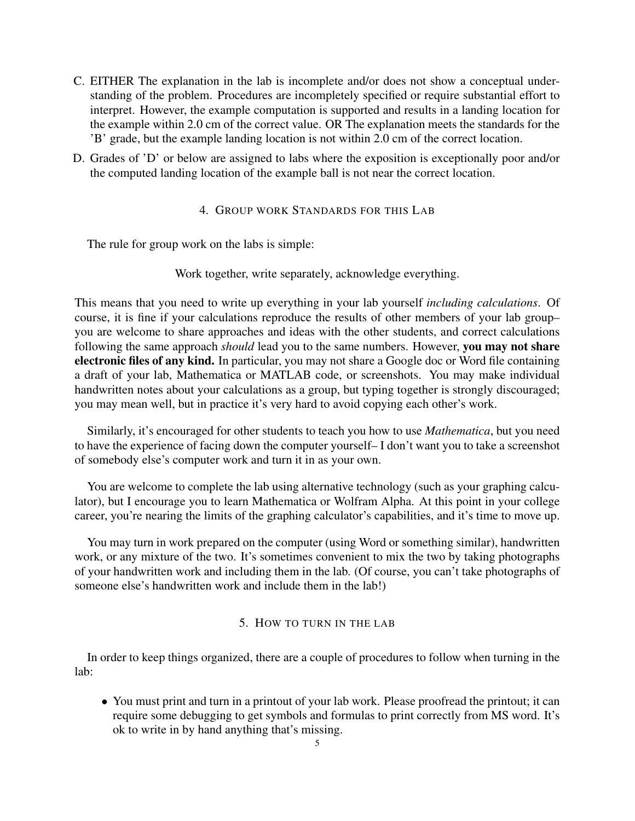- C. EITHER The explanation in the lab is incomplete and/or does not show a conceptual understanding of the problem. Procedures are incompletely specified or require substantial effort to interpret. However, the example computation is supported and results in a landing location for the example within 2.0 cm of the correct value. OR The explanation meets the standards for the 'B' grade, but the example landing location is not within 2.0 cm of the correct location.
- D. Grades of 'D' or below are assigned to labs where the exposition is exceptionally poor and/or the computed landing location of the example ball is not near the correct location.

## 4. GROUP WORK STANDARDS FOR THIS LAB

The rule for group work on the labs is simple:

Work together, write separately, acknowledge everything.

This means that you need to write up everything in your lab yourself *including calculations*. Of course, it is fine if your calculations reproduce the results of other members of your lab group– you are welcome to share approaches and ideas with the other students, and correct calculations following the same approach *should* lead you to the same numbers. However, you may not share electronic files of any kind. In particular, you may not share a Google doc or Word file containing a draft of your lab, Mathematica or MATLAB code, or screenshots. You may make individual handwritten notes about your calculations as a group, but typing together is strongly discouraged; you may mean well, but in practice it's very hard to avoid copying each other's work.

Similarly, it's encouraged for other students to teach you how to use *Mathematica*, but you need to have the experience of facing down the computer yourself– I don't want you to take a screenshot of somebody else's computer work and turn it in as your own.

You are welcome to complete the lab using alternative technology (such as your graphing calculator), but I encourage you to learn Mathematica or Wolfram Alpha. At this point in your college career, you're nearing the limits of the graphing calculator's capabilities, and it's time to move up.

You may turn in work prepared on the computer (using Word or something similar), handwritten work, or any mixture of the two. It's sometimes convenient to mix the two by taking photographs of your handwritten work and including them in the lab. (Of course, you can't take photographs of someone else's handwritten work and include them in the lab!)

# 5. HOW TO TURN IN THE LAB

In order to keep things organized, there are a couple of procedures to follow when turning in the lab:

• You must print and turn in a printout of your lab work. Please proofread the printout; it can require some debugging to get symbols and formulas to print correctly from MS word. It's ok to write in by hand anything that's missing.